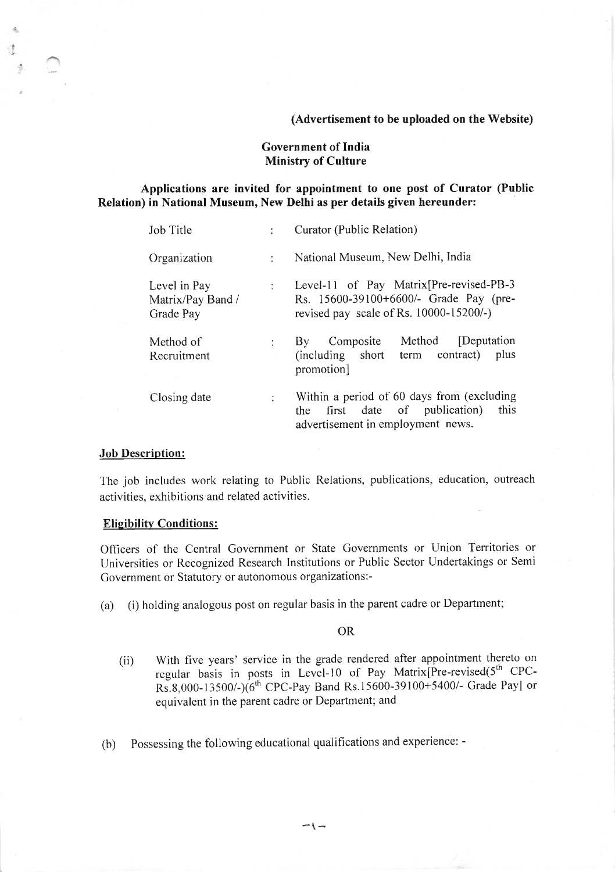## (Advertisement to be uploaded on the Website)

# Government of India Ministry of Culture

# Applications are invited for appointment to one post of Curator (Public Relation) in National Museum, New Delhi as per details given hereunder:

| Job Title                                      | $\ddot{\phantom{a}}$ | Curator (Public Relation)                                                                                                            |  |  |  |
|------------------------------------------------|----------------------|--------------------------------------------------------------------------------------------------------------------------------------|--|--|--|
| Organization                                   | $\ddot{\cdot}$       | National Museum, New Delhi, India                                                                                                    |  |  |  |
| Level in Pay<br>Matrix/Pay Band /<br>Grade Pay |                      | : Level-11 of Pay Matrix [Pre-revised-PB-3<br>Rs. 15600-39100+6600/- Grade Pay (pre-<br>revised pay scale of Rs. $10000 - 15200/-$ ) |  |  |  |
| Method of<br>Recruitment                       | ÷                    | Method<br>[Deputation]<br>Composite<br>$\rm\,By$<br>(including short<br>term contract)<br>plus<br>promotion]                         |  |  |  |
| Closing date                                   |                      | Within a period of 60 days from (excluding<br>this<br>the first date of publication)<br>advertisement in employment news.            |  |  |  |

# Job Description:

I

The job includes work relating to Public Relations, publications, education, outreach activities, exhibitions and related activities.

## **Eligibility Conditions:**

Officers of the Central Government or State Governments or Union Territories or Universities or Recognized Research lnstitutions or Public Sector Undertakings or Semi Government or Statutory or autonomous organizations:-

(a) (i) holding analogous post on regular basis in the parent cadre or Department;

## OR

- (ii) With five years' service in the grade rendered after appointment thereto on regular basis in posts in Level-10 of Pay Matrix[Pre-revised(5<sup>th</sup> CPC-Rs.8,000-13500/-)(6<sup>th</sup> CPC-Pay Band Rs.15600-39100+5400/- Grade Payl or equivalent in the parent cadre or Department; and
- (b) Possessing the following educational qualifications and experience: -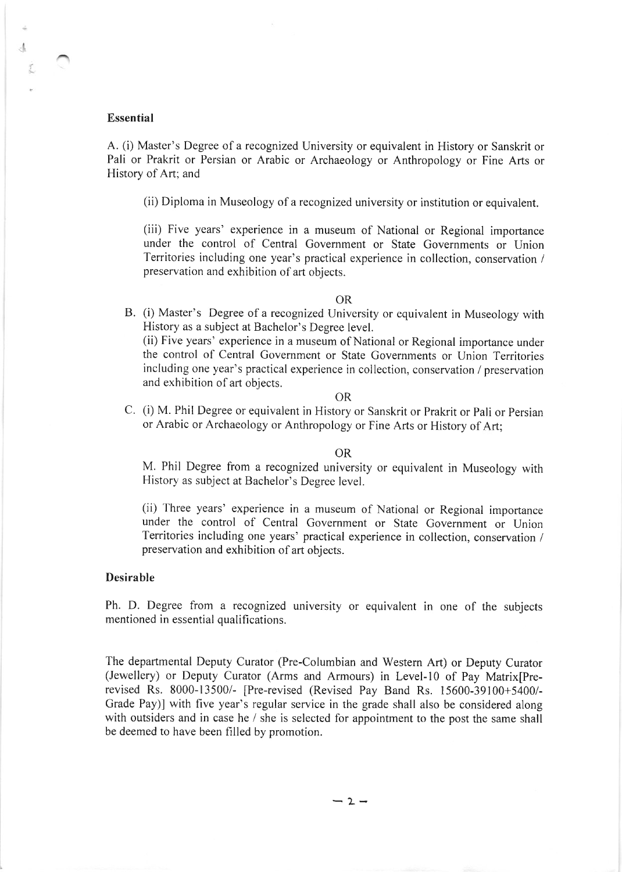## Essential

 $\Lambda$ 

A. (i) Master's Degree of a recognized University or equivalent in History or Sanskrit or Pali or Prakrit or Persian or Arabic or Archaeology or Anthropology or Fine Arts or History of Art; and

(ii) Diploma in Museology of a recognized university or institution or equivalent.

(iii) Five years' experience in a museum of National or Regional importance under the control of Central Government or State Governments or Union Territories including one year's practical experience in collection, conservation / preservation and exhibition of art objects.

## OR

B. (i) Master's Degree of a recognized University or equivalent in Museology with History as a subject at Bachelor's Degree level.

(ii) Five years' experience in a museum of National or Regional importance under the control of Central Government or State Governments or Union Territories including one year's practical experience in collection, conservation / preservation and exhibition of art objects.

## OR

C. (i) M. Phil Degree or equivalent in History or Sanskrit or Prakrit or Pali or Persian or Arabic or Archaeology or Anthropology or Fine Arts or History of Art;

## OR

M. Phil Degree from a recognized university or equivalent in Museology with History as subject at Bachelor's Degree level.

(ii) Three years' experience in a museum of National or Regional importance under the control of Central Government or State Government or Union Territories including one years' practical experience in collection, conservation / preservation and exhibition of art objects.

# Desirable

Ph. D. Degree from a recognized university or equivalent in one of the subjects mentioned in essential qualifications.

The departmental Deputy Curator (Pre-Columbian and Western Art) or Deputy Curator (Jewellery) or Deputy Curator (Arms and Armours) in Level-IO of Pay Matrix[Prerevised Rs. 8000-13500/- [Pre-revised (Revised Pay Band Rs. 15600-39100+5400/- Grade Pay)] with five year's regular service in the grade shall also be considered along with outsiders and in case he / she is selected for appointment to the post the same shall be deemed to have been filled by promotion.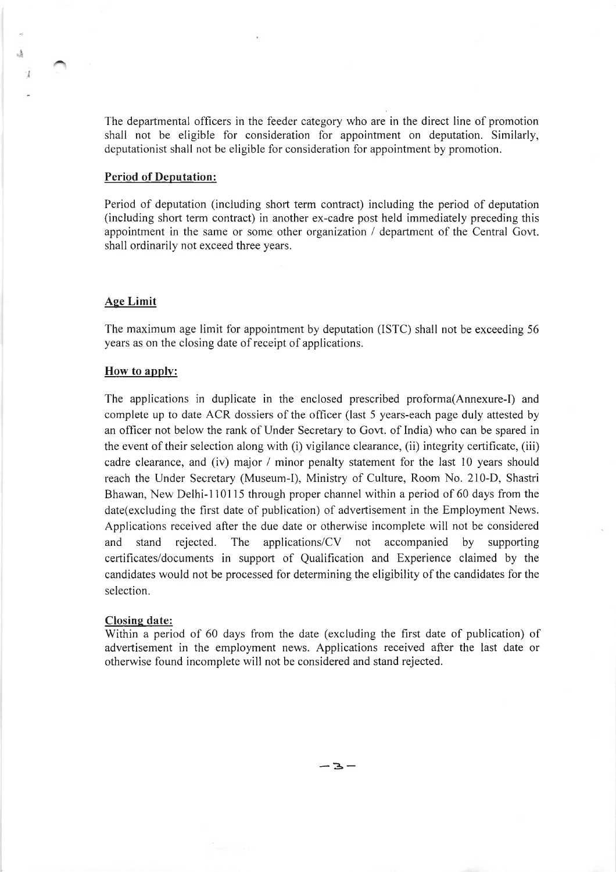The departmental officers in the feeder category who are in the direct line of promotion shall not be eligible for consideration for appointment on deputation. Similarly, deputationist shall not be eligible for consideration for appointment by promotion.

### Period of Deputation:

Period of deputation (including short term contract) including the period of deputation (including short term contract) in another ex-cadre post held immediately preceding this appointment in the same or some other organization / department of the Central Govt. shall ordinarily not exceed three years.

### Aee Limit

I

The maximum age limit for appointment by deputation (ISTC) shall not be exceeding 56 years as on the closing date of receipt of applications.

### How to apply:

The applications in duplicate in the enclosed prescribed proforma(Annexure-I) and complete up to date ACR dossiers of the officer (last 5 years-each page duly attested by an officer not below the rank of Under Secretary to Govt. of India) who can be spared in the event of their selection along with (i) vigilance clearance, (ii) integrity certificate, (iii) cadre clearance, and (iv) major / minor penalty statement for the last 10 years should reach the Under Secretary (Museum-I), Ministry of Culture, Room No. 210-D, Shastri Bhawan, New Delhi-110115 through proper channel within a period of 60 days from the date(excluding the first date of publication) of advertisement in the Employment News. Applications received after the due date or otherwise incomplete will not be considered and stand rejected. The applications/CV not accompanied by supporting certificates/documents in support of Qualification and Experience claimed by the candidates would not be processed for determining the eligibility of the candidates for the selection.

## Closing date:

Within a period of 60 days from the date (excluding the first date of publication) of advertisement in the employment news. Applications received after the last date or otherwise found incomplete will not be considered and stand rejected.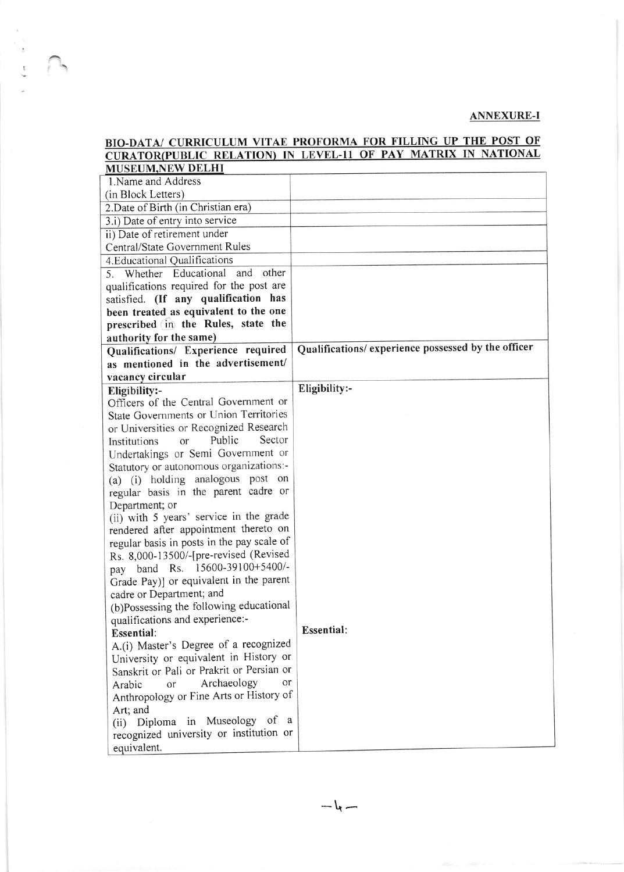# ANNEXURE-I

|                                                                           | BIO-DATA/ CURRICULUM VITAE PROFORMA FOR FILLING OF THE FOST OF<br>CURATOR(PUBLIC RELATION) IN LEVEL-11 OF PAY MATRIX IN NATIONAL |
|---------------------------------------------------------------------------|----------------------------------------------------------------------------------------------------------------------------------|
| <b>MUSEUM,NEW DELHI</b>                                                   |                                                                                                                                  |
| 1. Name and Address                                                       |                                                                                                                                  |
| (in Block Letters)                                                        |                                                                                                                                  |
| 2. Date of Birth (in Christian era)                                       |                                                                                                                                  |
| 3.i) Date of entry into service                                           |                                                                                                                                  |
| ii) Date of retirement under                                              |                                                                                                                                  |
| Central/State Government Rules                                            |                                                                                                                                  |
| 4. Educational Qualifications                                             |                                                                                                                                  |
| 5. Whether Educational<br>and<br>other                                    |                                                                                                                                  |
| qualifications required for the post are                                  |                                                                                                                                  |
| satisfied. (If any qualification has                                      |                                                                                                                                  |
| been treated as equivalent to the one                                     |                                                                                                                                  |
| prescribed in the Rules, state the                                        |                                                                                                                                  |
|                                                                           |                                                                                                                                  |
| authority for the same)                                                   | Qualifications/ experience possessed by the officer                                                                              |
| Qualifications/ Experience required<br>as mentioned in the advertisement/ |                                                                                                                                  |
|                                                                           |                                                                                                                                  |
| vacancy circular                                                          | Eligibility:-                                                                                                                    |
| Eligibility:-<br>Officers of the Central Government or                    |                                                                                                                                  |
| State Governments or Union Territories                                    |                                                                                                                                  |
|                                                                           |                                                                                                                                  |
| or Universities or Recognized Research<br>Sector<br>Public                |                                                                                                                                  |
| Institutions<br>or                                                        |                                                                                                                                  |
| Undertakings or Semi Government or                                        |                                                                                                                                  |
| Statutory or autonomous organizations:-                                   |                                                                                                                                  |
| (a) (i) holding analogous post on                                         |                                                                                                                                  |
| regular basis in the parent cadre or                                      |                                                                                                                                  |
| Department; or<br>(ii) with 5 years' service in the grade                 |                                                                                                                                  |
| rendered after appointment thereto on                                     |                                                                                                                                  |
| regular basis in posts in the pay scale of                                |                                                                                                                                  |
|                                                                           |                                                                                                                                  |
| Rs. 8,000-13500/-[pre-revised (Revised<br>pay band Rs. 15600-39100+5400/- |                                                                                                                                  |
| Grade Pay)] or equivalent in the parent                                   |                                                                                                                                  |
|                                                                           |                                                                                                                                  |
| cadre or Department; and<br>(b)Possessing the following educational       |                                                                                                                                  |
| qualifications and experience:-                                           |                                                                                                                                  |
| <b>Essential:</b>                                                         | <b>Essential:</b>                                                                                                                |
| A.(i) Master's Degree of a recognized                                     |                                                                                                                                  |
| University or equivalent in History or                                    |                                                                                                                                  |
| Sanskrit or Pali or Prakrit or Persian or                                 |                                                                                                                                  |
| Archaeology<br>or<br>or                                                   |                                                                                                                                  |
| Arabic<br>Anthropology or Fine Arts or History of                         |                                                                                                                                  |
|                                                                           |                                                                                                                                  |
| Art; and<br>(ii) Diploma in Museology of a                                |                                                                                                                                  |
| recognized university or institution or                                   |                                                                                                                                  |
|                                                                           |                                                                                                                                  |
| equivalent.                                                               |                                                                                                                                  |

**THE VALUE DROEGDMA FOR FILLING HE THE POST OF** 

 $\ddot{\phantom{0}}$ 

 $-\iota$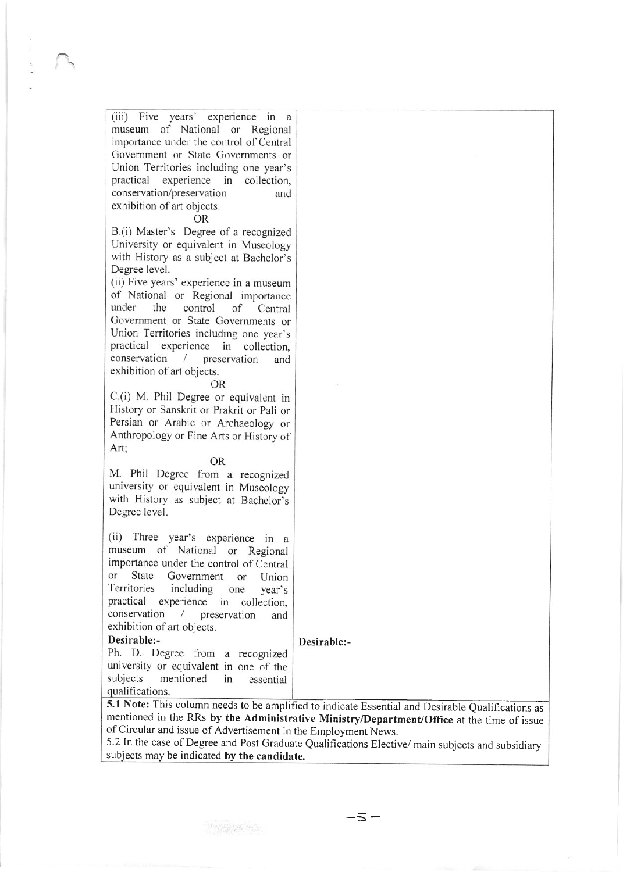(iii) Five years' experience in a museum of National or Regional importance under the control of Central Government or State Governments or Union Territories including one year's practical experience in collection. conservation/preservation and exhibition of art objects. **OR** B.(i) Master's Degree of a recognized University or equivalent in Museology

 $\overline{\phantom{a}}$ 

with History as a subject at Bachelor's Degree level. (ii) Five years' experience in a museum

of National or Regional importance under the control of Central Government or State Governments or Union Territories including one year's practical experience in collection. conservation / preservation and exhibition of art objects.

#### **OR**

C.(i) M. Phil Degree or equivalent in History or Sanskrit or Prakrit or Pali or Persian or Arabic or Archaeology or Anthropology or Fine Arts or History of Art;

#### **OR**

M. Phil Degree from a recognized university or equivalent in Museology with History as subject at Bachelor's Degree level.

(ii) Three year's experience in a museum of National or Regional importance under the control of Central State Government or Union or Territories including one year's practical experience in collection, conservation / preservation and exhibition of art objects.

#### Desirable:-

Desirable:-

Ph. D. Degree from a recognized university or equivalent in one of the subjects mentioned in essential qualifications.

5.1 Note: This column needs to be amplified to indicate Essential and Desirable Qualifications as mentioned in the RRs by the Administrative Ministry/Department/Office at the time of issue of Circular and issue of Advertisement in the Employment News.

5.2In the case of Degree and Post Graduate Qualifications Elective/ main subjects and subsidiary subjects may be indicated by the candidate.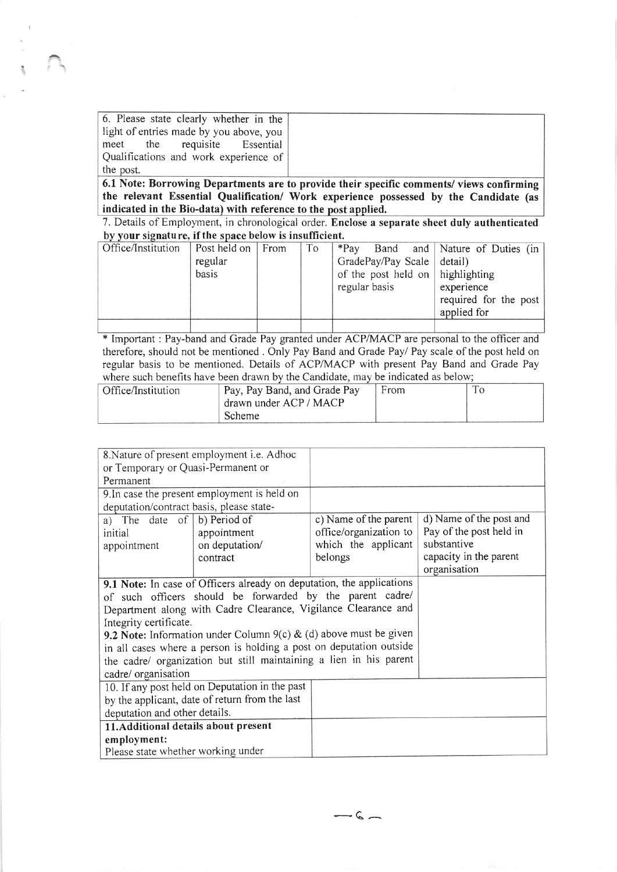6. Please state clearly whether in the light of entries made by you above, you meet the requisite Essential Qualifications and work experience of the post.

6.1 Note: Borrowing Departments are to provide their specific comments/ views confirming the relevant Essential Qualification/ Work experience possessed by the Candidate (as indicated in the Bio-data) with reference to the post applied.

by your signature, if the space below is insufficient. 7. Details of Employment, in chronological order. Enclose a separate sheet duly authenticated

| <u><i>Di four signature, ir the space below is mountedent.</i></u> |                   |    |                                  |  |  |                                 |
|--------------------------------------------------------------------|-------------------|----|----------------------------------|--|--|---------------------------------|
| Office/Institution                                                 | Post held on From | To | $*Pav$                           |  |  | Band and Nature of Duties (in ) |
|                                                                    | regular           |    | GradePay/Pay Scale detail)       |  |  |                                 |
|                                                                    | basis             |    | of the post held on highlighting |  |  |                                 |
|                                                                    |                   |    | regular basis                    |  |  | experience                      |
|                                                                    |                   |    |                                  |  |  | required for the post           |
|                                                                    |                   |    |                                  |  |  | applied for                     |
|                                                                    |                   |    |                                  |  |  |                                 |

\* Important : Pay-band and Grade Pay granted under ACP/MACP are personal to the officer and therefore, should not be mentioned . Only Pay Band and Grade Pay/ Pay scale of the post held on regular basis to be mentioned. Details of ACP/MACP with present Pay Band and Grade Pay where such benefits have been drawn by the Candidate, may be indicated as below;

| Office/Institution | Pay, Pay Band, and Grade Pay | From |  |
|--------------------|------------------------------|------|--|
|                    | drawn under ACP / MACP       |      |  |
|                    | Scheme                       |      |  |

| 8. Nature of present employment i.e. Adhoc                          |                                                                       |                        |                         |
|---------------------------------------------------------------------|-----------------------------------------------------------------------|------------------------|-------------------------|
| or Temporary or Quasi-Permanent or                                  |                                                                       |                        |                         |
| Permanent                                                           |                                                                       |                        |                         |
|                                                                     | 9. In case the present employment is held on                          |                        |                         |
| deputation/contract basis, please state-                            |                                                                       |                        |                         |
| a) The date of $\vert$ b) Period of                                 |                                                                       | c) Name of the parent  | d) Name of the post and |
| initial                                                             | appointment                                                           | office/organization to | Pay of the post held in |
| appointment                                                         | on deputation/                                                        | which the applicant    | substantive             |
|                                                                     | contract                                                              | belongs                | capacity in the parent  |
|                                                                     |                                                                       |                        | organisation            |
|                                                                     | 9.1 Note: In case of Officers already on deputation, the applications |                        |                         |
|                                                                     | of such officers should be forwarded by the parent cadre/             |                        |                         |
| Department along with Cadre Clearance, Vigilance Clearance and      |                                                                       |                        |                         |
| Integrity certificate.                                              |                                                                       |                        |                         |
| 9.2 Note: Information under Column $9(c)$ & (d) above must be given |                                                                       |                        |                         |
|                                                                     | in all cases where a person is holding a post on deputation outside   |                        |                         |
| the cadre/ organization but still maintaining a lien in his parent  |                                                                       |                        |                         |
| cadre/ organisation                                                 |                                                                       |                        |                         |
|                                                                     | 10. If any post held on Deputation in the past                        |                        |                         |
|                                                                     | by the applicant, date of return from the last                        |                        |                         |
| deputation and other details.                                       |                                                                       |                        |                         |
| 11. Additional details about present                                |                                                                       |                        |                         |
| employment:                                                         |                                                                       |                        |                         |
| Please state whether working under                                  |                                                                       |                        |                         |